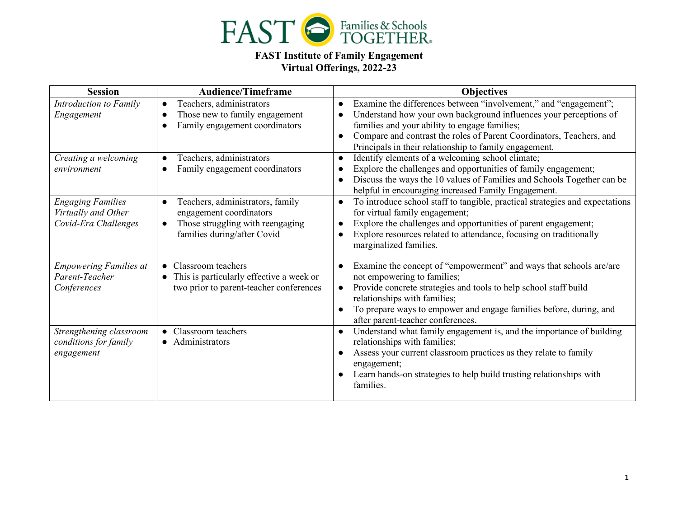

## **FAST Institute of Family Engagement Virtual Offerings, 2022-23**

| <b>Session</b>                | <b>Audience/Timeframe</b>                     | <b>Objectives</b>                                                                         |
|-------------------------------|-----------------------------------------------|-------------------------------------------------------------------------------------------|
| Introduction to Family        | Teachers, administrators<br>$\bullet$         | Examine the differences between "involvement," and "engagement";                          |
| Engagement                    | Those new to family engagement                | Understand how your own background influences your perceptions of                         |
|                               | Family engagement coordinators                | families and your ability to engage families;                                             |
|                               |                                               | Compare and contrast the roles of Parent Coordinators, Teachers, and                      |
|                               |                                               | Principals in their relationship to family engagement.                                    |
| Creating a welcoming          | Teachers, administrators                      | Identify elements of a welcoming school climate;                                          |
| environment                   | Family engagement coordinators                | Explore the challenges and opportunities of family engagement;                            |
|                               |                                               | Discuss the ways the 10 values of Families and Schools Together can be<br>$\bullet$       |
|                               |                                               | helpful in encouraging increased Family Engagement.                                       |
| <b>Engaging Families</b>      | Teachers, administrators, family              | To introduce school staff to tangible, practical strategies and expectations<br>$\bullet$ |
| Virtually and Other           | engagement coordinators                       | for virtual family engagement;                                                            |
| Covid-Era Challenges          | Those struggling with reengaging<br>$\bullet$ | Explore the challenges and opportunities of parent engagement;                            |
|                               | families during/after Covid                   | Explore resources related to attendance, focusing on traditionally                        |
|                               |                                               | marginalized families.                                                                    |
| <b>Empowering Families at</b> | • Classroom teachers                          | Examine the concept of "empowerment" and ways that schools are/are                        |
| Parent-Teacher                | • This is particularly effective a week or    | not empowering to families;                                                               |
| Conferences                   | two prior to parent-teacher conferences       | Provide concrete strategies and tools to help school staff build                          |
|                               |                                               | relationships with families;                                                              |
|                               |                                               | To prepare ways to empower and engage families before, during, and                        |
|                               |                                               | after parent-teacher conferences.                                                         |
| Strengthening classroom       | • Classroom teachers                          | Understand what family engagement is, and the importance of building<br>$\bullet$         |
| conditions for family         | • Administrators                              | relationships with families;                                                              |
| engagement                    |                                               | Assess your current classroom practices as they relate to family                          |
|                               |                                               | engagement;                                                                               |
|                               |                                               | Learn hands-on strategies to help build trusting relationships with                       |
|                               |                                               | families.                                                                                 |
|                               |                                               |                                                                                           |